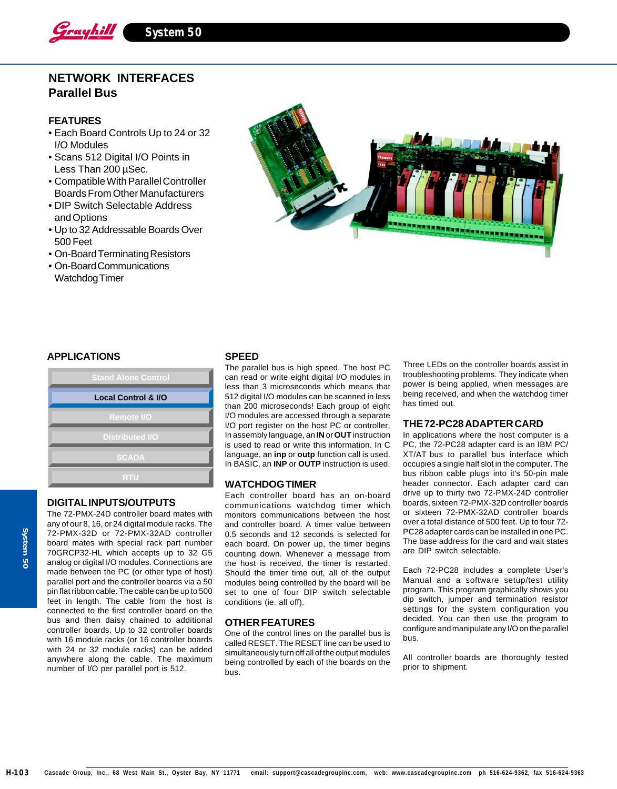

# **NETWORK INTERFACES Parallel Bus**

# **FEATURES**

- Each Board Controls Up to 24 or 32 I/O Modules
- Scans 512 Digital I/O Points in Less Than 200 µSec.
- Compatible With Parallel Controller Boards From Other Manufacturers
- DIP Switch Selectable Address and Options
- Up to 32 Addressable Boards Over 500 Feet
- On-Board Terminating Resistors
- On-Board Communications Watchdog Timer



### **APPLICATIONS**

| <b>Stand Alone Control</b>     |  |
|--------------------------------|--|
| <b>Local Control &amp; I/O</b> |  |
| <b>Remote I/O</b>              |  |
| <b>Distributed I/O</b>         |  |
| <b>SCADA</b>                   |  |
| RTU                            |  |

## **DIGITAL INPUTS/OUTPUTS**

The 72-PMX-24D controller board mates with any of our 8, 16, or 24 digital module racks. The 72-PMX-32D or 72-PMX-32AD controller board mates with special rack part number 70GRCP32-HL which accepts up to 32 G5 analog or digital I/O modules. Connections are made between the PC (or other type of host) parallel port and the controller boards via a 50 pin flat ribbon cable. The cable can be up to 500 feet in length. The cable from the host is connected to the first controller board on the bus and then daisy chained to additional controller boards. Up to 32 controller boards with 16 module racks (or 16 controller boards with 24 or 32 module racks) can be added anywhere along the cable. The maximum number of I/O per parallel port is 512.

### **SPEED**

The parallel bus is high speed. The host PC can read or write eight digital I/O modules in less than 3 microseconds which means that 512 digital I/O modules can be scanned in less than 200 microseconds! Each group of eight I/O modules are accessed through a separate I/O port register on the host PC or controller. In assembly language, an **IN** or **OUT** instruction is used to read or write this information. In C language, an **inp** or **outp** function call is used. In BASIC, an **INP** or **OUTP** instruction is used.

# **WATCHDOG TIMER**

Each controller board has an on-board communications watchdog timer which monitors communications between the host and controller board. A timer value between 0.5 seconds and 12 seconds is selected for each board. On power up, the timer begins counting down. Whenever a message from the host is received, the timer is restarted. Should the timer time out, all of the output modules being controlled by the board will be set to one of four DIP switch selectable conditions (ie. all off).

#### **OTHER FEATURES**

One of the control lines on the parallel bus is called RESET. The RESET line can be used to simultaneously turn off all of the output modules being controlled by each of the boards on the bus.

Three LEDs on the controller boards assist in troubleshooting problems. They indicate when power is being applied, when messages are being received, and when the watchdog timer has timed out.

#### **THE 72-PC28 ADAPTER CARD**

In applications where the host computer is a PC, the 72-PC28 adapter card is an IBM PC/ XT/AT bus to parallel bus interface which occupies a single half slot in the computer. The bus ribbon cable plugs into it's 50-pin male header connector. Each adapter card can drive up to thirty two 72-PMX-24D controller boards, sixteen 72-PMX-32D controller boards or sixteen 72-PMX-32AD controller boards over a total distance of 500 feet. Up to four 72- PC28 adapter cards can be installed in one PC. The base address for the card and wait states are DIP switch selectable.

Each 72-PC28 includes a complete User's Manual and a software setup/test utility program. This program graphically shows you dip switch, jumper and termination resistor settings for the system configuration you decided. You can then use the program to configure and manipulate any I/O on the parallel bus.

All controller boards are thoroughly tested prior to shipment.